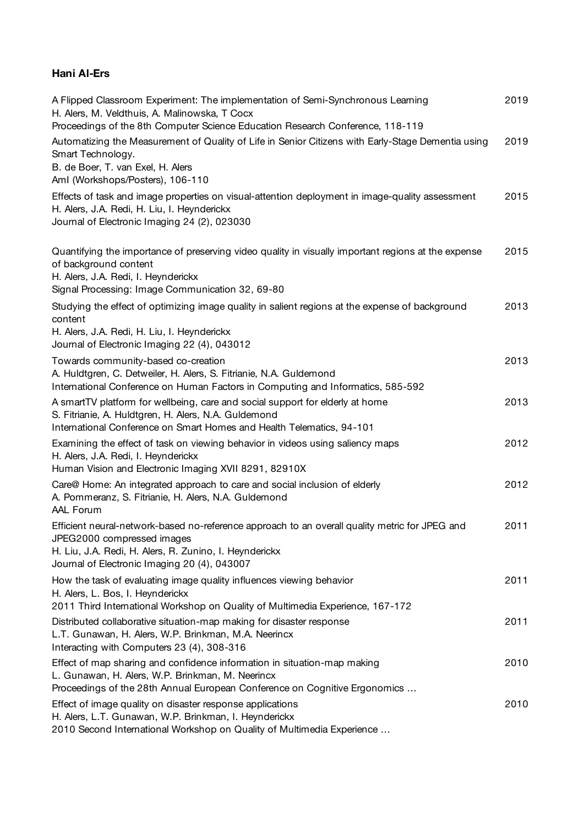## **Hani Al-Ers**

| A Flipped Classroom Experiment: The implementation of Semi-Synchronous Learning<br>H. Alers, M. Veldthuis, A. Malinowska, T Cocx<br>Proceedings of the 8th Computer Science Education Research Conference, 118-119                     | 2019 |
|----------------------------------------------------------------------------------------------------------------------------------------------------------------------------------------------------------------------------------------|------|
| Automatizing the Measurement of Quality of Life in Senior Citizens with Early-Stage Dementia using<br>Smart Technology.<br>B. de Boer, T. van Exel, H. Alers<br>Aml (Workshops/Posters), 106-110                                       | 2019 |
| Effects of task and image properties on visual-attention deployment in image-quality assessment<br>H. Alers, J.A. Redi, H. Liu, I. Heynderickx<br>Journal of Electronic Imaging 24 (2), 023030                                         | 2015 |
| Quantifying the importance of preserving video quality in visually important regions at the expense<br>of background content<br>H. Alers, J.A. Redi, I. Heynderickx<br>Signal Processing: Image Communication 32, 69-80                | 2015 |
| Studying the effect of optimizing image quality in salient regions at the expense of background<br>content<br>H. Alers, J.A. Redi, H. Liu, I. Heynderickx<br>Journal of Electronic Imaging 22 (4), 043012                              | 2013 |
| Towards community-based co-creation<br>A. Huldtgren, C. Detweiler, H. Alers, S. Fitrianie, N.A. Guldemond<br>International Conference on Human Factors in Computing and Informatics, 585-592                                           | 2013 |
| A smartTV platform for wellbeing, care and social support for elderly at home<br>S. Fitrianie, A. Huldtgren, H. Alers, N.A. Guldemond<br>International Conference on Smart Homes and Health Telematics, 94-101                         | 2013 |
| Examining the effect of task on viewing behavior in videos using saliency maps<br>H. Alers, J.A. Redi, I. Heynderickx<br>Human Vision and Electronic Imaging XVII 8291, 82910X                                                         | 2012 |
| Care@ Home: An integrated approach to care and social inclusion of elderly<br>A. Pommeranz, S. Fitrianie, H. Alers, N.A. Guldemond<br>AAL Forum                                                                                        | 2012 |
| Efficient neural-network-based no-reference approach to an overall quality metric for JPEG and<br>JPEG2000 compressed images<br>H. Liu, J.A. Redi, H. Alers, R. Zunino, I. Heynderickx<br>Journal of Electronic Imaging 20 (4), 043007 | 2011 |
| How the task of evaluating image quality influences viewing behavior<br>H. Alers, L. Bos, I. Heynderickx<br>2011 Third International Workshop on Quality of Multimedia Experience, 167-172                                             | 2011 |
| Distributed collaborative situation-map making for disaster response<br>L.T. Gunawan, H. Alers, W.P. Brinkman, M.A. Neerincx<br>Interacting with Computers 23 (4), 308-316                                                             | 2011 |
| Effect of map sharing and confidence information in situation-map making<br>L. Gunawan, H. Alers, W.P. Brinkman, M. Neerincx<br>Proceedings of the 28th Annual European Conference on Cognitive Ergonomics                             | 2010 |
| Effect of image quality on disaster response applications<br>H. Alers, L.T. Gunawan, W.P. Brinkman, I. Heynderickx<br>2010 Second International Workshop on Quality of Multimedia Experience                                           | 2010 |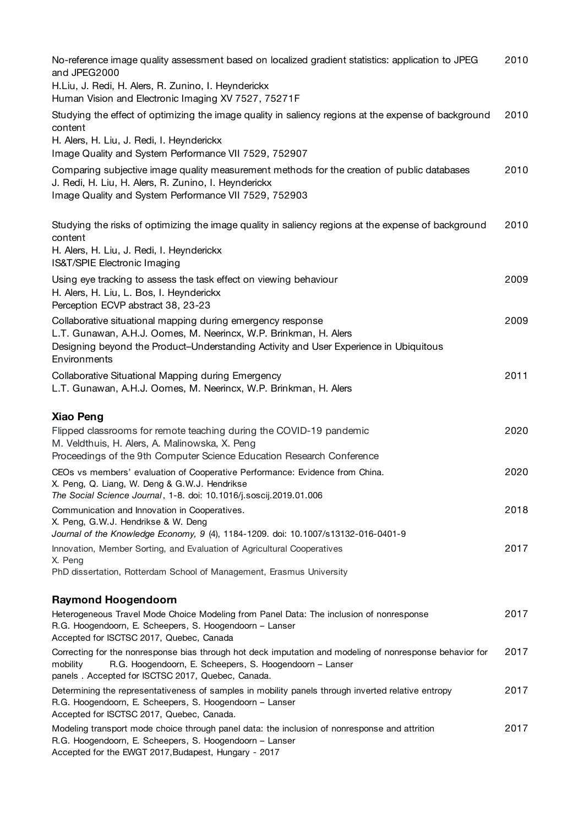| No-reference image quality assessment based on localized gradient statistics: application to JPEG<br>and JPEG2000<br>H.Liu, J. Redi, H. Alers, R. Zunino, I. Heynderickx<br>Human Vision and Electronic Imaging XV 7527, 75271F          | 2010 |
|------------------------------------------------------------------------------------------------------------------------------------------------------------------------------------------------------------------------------------------|------|
| Studying the effect of optimizing the image quality in saliency regions at the expense of background<br>content<br>H. Alers, H. Liu, J. Redi, I. Heynderickx<br>Image Quality and System Performance VII 7529, 752907                    | 2010 |
| Comparing subjective image quality measurement methods for the creation of public databases<br>J. Redi, H. Liu, H. Alers, R. Zunino, I. Heynderickx<br>Image Quality and System Performance VII 7529, 752903                             | 2010 |
| Studying the risks of optimizing the image quality in saliency regions at the expense of background<br>content<br>H. Alers, H. Liu, J. Redi, I. Heynderickx<br>IS&T/SPIE Electronic Imaging                                              | 2010 |
| Using eye tracking to assess the task effect on viewing behaviour<br>H. Alers, H. Liu, L. Bos, I. Heynderickx<br>Perception ECVP abstract 38, 23-23                                                                                      | 2009 |
| Collaborative situational mapping during emergency response<br>L.T. Gunawan, A.H.J. Oomes, M. Neerincx, W.P. Brinkman, H. Alers<br>Designing beyond the Product-Understanding Activity and User Experience in Ubiquitous<br>Environments | 2009 |
| Collaborative Situational Mapping during Emergency<br>L.T. Gunawan, A.H.J. Oomes, M. Neerincx, W.P. Brinkman, H. Alers                                                                                                                   | 2011 |
| Xiao Peng<br>Flipped classrooms for remote teaching during the COVID-19 pandemic<br>M. Veldthuis, H. Alers, A. Malinowska, X. Peng<br>Proceedings of the 9th Computer Science Education Research Conference                              | 2020 |
| CEOs vs members' evaluation of Cooperative Performance: Evidence from China.<br>X. Peng, Q. Liang, W. Deng & G.W.J. Hendrikse<br>The Social Science Journal, 1-8. doi: 10.1016/j.soscij.2019.01.006                                      | 2020 |
| Communication and Innovation in Cooperatives.<br>X. Peng, G.W.J. Hendrikse & W. Deng<br>Journal of the Knowledge Economy, 9 (4), 1184-1209. doi: 10.1007/s13132-016-0401-9                                                               | 2018 |
| Innovation, Member Sorting, and Evaluation of Agricultural Cooperatives<br>X. Peng<br>PhD dissertation, Rotterdam School of Management, Erasmus University                                                                               | 2017 |
| <b>Raymond Hoogendoorn</b>                                                                                                                                                                                                               |      |
| Heterogeneous Travel Mode Choice Modeling from Panel Data: The inclusion of nonresponse<br>R.G. Hoogendoorn, E. Scheepers, S. Hoogendoorn - Lanser<br>Accepted for ISCTSC 2017, Quebec, Canada                                           | 2017 |
| Correcting for the nonresponse bias through hot deck imputation and modeling of nonresponse behavior for<br>R.G. Hoogendoorn, E. Scheepers, S. Hoogendoorn - Lanser<br>mobility<br>panels. Accepted for ISCTSC 2017, Quebec, Canada.     | 2017 |
| Determining the representativeness of samples in mobility panels through inverted relative entropy<br>R.G. Hoogendoorn, E. Scheepers, S. Hoogendoorn - Lanser<br>Accepted for ISCTSC 2017, Quebec, Canada.                               | 2017 |
| Modeling transport mode choice through panel data: the inclusion of nonresponse and attrition<br>R.G. Hoogendoorn, E. Scheepers, S. Hoogendoorn - Lanser<br>Accepted for the EWGT 2017, Budapest, Hungary - 2017                         | 2017 |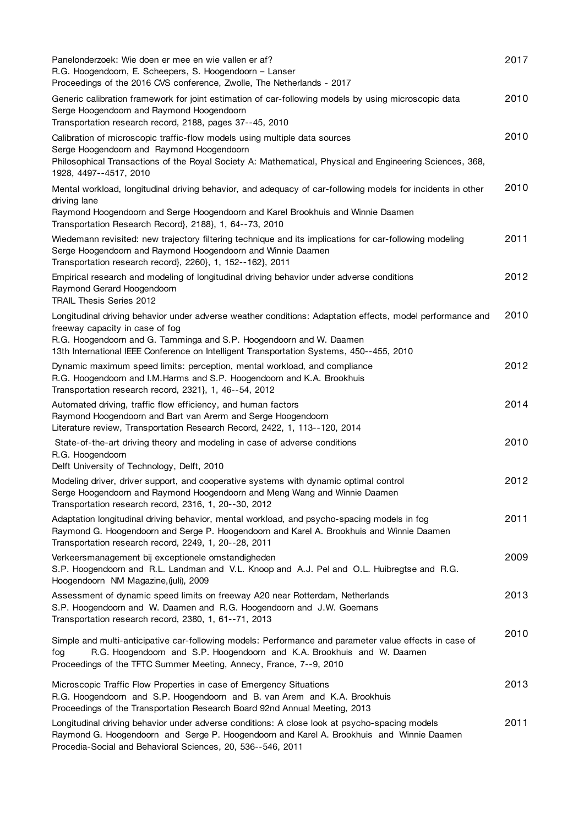| Panelonderzoek: Wie doen er mee en wie vallen er af?<br>R.G. Hoogendoorn, E. Scheepers, S. Hoogendoorn – Lanser<br>Proceedings of the 2016 CVS conference, Zwolle, The Netherlands - 2017                                                                                                                       | 2017 |
|-----------------------------------------------------------------------------------------------------------------------------------------------------------------------------------------------------------------------------------------------------------------------------------------------------------------|------|
| Generic calibration framework for joint estimation of car-following models by using microscopic data<br>Serge Hoogendoorn and Raymond Hoogendoorn<br>Transportation research record, 2188, pages 37--45, 2010                                                                                                   | 2010 |
| Calibration of microscopic traffic-flow models using multiple data sources<br>Serge Hoogendoorn and Raymond Hoogendoorn<br>Philosophical Transactions of the Royal Society A: Mathematical, Physical and Engineering Sciences, 368,<br>1928, 4497--4517, 2010                                                   | 2010 |
| Mental workload, longitudinal driving behavior, and adequacy of car-following models for incidents in other<br>driving lane<br>Raymond Hoogendoorn and Serge Hoogendoorn and Karel Brookhuis and Winnie Daamen<br>Transportation Research Record}, 2188}, 1, 64--73, 2010                                       | 2010 |
| Wiedemann revisited: new trajectory filtering technique and its implications for car-following modeling<br>Serge Hoogendoorn and Raymond Hoogendoorn and Winnie Daamen<br>Transportation research record}, 2260}, 1, 152--162}, 2011                                                                            | 2011 |
| Empirical research and modeling of longitudinal driving behavior under adverse conditions<br>Raymond Gerard Hoogendoorn<br>TRAIL Thesis Series 2012                                                                                                                                                             | 2012 |
| Longitudinal driving behavior under adverse weather conditions: Adaptation effects, model performance and<br>freeway capacity in case of fog<br>R.G. Hoogendoorn and G. Tamminga and S.P. Hoogendoorn and W. Daamen<br>13th International IEEE Conference on Intelligent Transportation Systems, 450--455, 2010 | 2010 |
| Dynamic maximum speed limits: perception, mental workload, and compliance<br>R.G. Hoogendoorn and I.M.Harms and S.P. Hoogendoorn and K.A. Brookhuis<br>Transportation research record, 2321}, 1, 46--54, 2012                                                                                                   | 2012 |
| Automated driving, traffic flow efficiency, and human factors<br>Raymond Hoogendoorn and Bart van Arerm and Serge Hoogendoorn<br>Literature review, Transportation Research Record, 2422, 1, 113--120, 2014                                                                                                     | 2014 |
| State-of-the-art driving theory and modeling in case of adverse conditions<br>R.G. Hoogendoorn<br>Delft University of Technology, Delft, 2010                                                                                                                                                                   | 2010 |
| Modeling driver, driver support, and cooperative systems with dynamic optimal control<br>Serge Hoogendoorn and Raymond Hoogendoorn and Meng Wang and Winnie Daamen<br>Transportation research record, 2316, 1, 20--30, 2012                                                                                     | 2012 |
| Adaptation longitudinal driving behavior, mental workload, and psycho-spacing models in fog<br>Raymond G. Hoogendoorn and Serge P. Hoogendoorn and Karel A. Brookhuis and Winnie Daamen<br>Transportation research record, 2249, 1, 20--28, 2011                                                                | 2011 |
| Verkeersmanagement bij exceptionele omstandigheden<br>S.P. Hoogendoorn and R.L. Landman and V.L. Knoop and A.J. Pel and O.L. Huibregtse and R.G.<br>Hoogendoorn NM Magazine, (juli), 2009                                                                                                                       | 2009 |
| Assessment of dynamic speed limits on freeway A20 near Rotterdam, Netherlands<br>S.P. Hoogendoorn and W. Daamen and R.G. Hoogendoorn and J.W. Goemans<br>Transportation research record, 2380, 1, 61--71, 2013                                                                                                  | 2013 |
| Simple and multi-anticipative car-following models: Performance and parameter value effects in case of<br>R.G. Hoogendoorn and S.P. Hoogendoorn and K.A. Brookhuis and W. Daamen<br>fog<br>Proceedings of the TFTC Summer Meeting, Annecy, France, 7--9, 2010                                                   | 2010 |
| Microscopic Traffic Flow Properties in case of Emergency Situations<br>R.G. Hoogendoorn and S.P. Hoogendoorn and B. van Arem and K.A. Brookhuis<br>Proceedings of the Transportation Research Board 92nd Annual Meeting, 2013                                                                                   | 2013 |
| Longitudinal driving behavior under adverse conditions: A close look at psycho-spacing models<br>Raymond G. Hoogendoorn and Serge P. Hoogendoorn and Karel A. Brookhuis and Winnie Daamen<br>Procedia-Social and Behavioral Sciences, 20, 536--546, 2011                                                        | 2011 |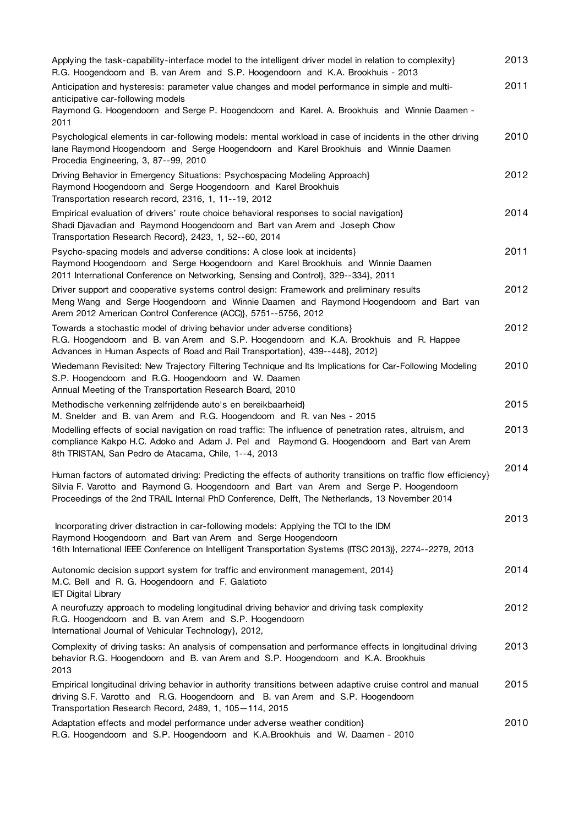| Applying the task-capability-interface model to the intelligent driver model in relation to complexity}<br>R.G. Hoogendoorn and B. van Arem and S.P. Hoogendoorn and K.A. Brookhuis - 2013                                                                                                                   | 2013 |
|--------------------------------------------------------------------------------------------------------------------------------------------------------------------------------------------------------------------------------------------------------------------------------------------------------------|------|
| Anticipation and hysteresis: parameter value changes and model performance in simple and multi-<br>anticipative car-following models<br>Raymond G. Hoogendoorn and Serge P. Hoogendoorn and Karel. A. Brookhuis and Winnie Daamen -<br>2011                                                                  | 2011 |
| Psychological elements in car-following models: mental workload in case of incidents in the other driving<br>lane Raymond Hoogendoorn and Serge Hoogendoorn and Karel Brookhuis and Winnie Daamen<br>Procedia Engineering, 3, 87--99, 2010                                                                   | 2010 |
| Driving Behavior in Emergency Situations: Psychospacing Modeling Approach}<br>Raymond Hoogendoorn and Serge Hoogendoorn and Karel Brookhuis<br>Transportation research record, 2316, 1, 11--19, 2012                                                                                                         | 2012 |
| Empirical evaluation of drivers' route choice behavioral responses to social navigation}<br>Shadi Djavadian and Raymond Hoogendoorn and Bart van Arem and Joseph Chow<br>Transportation Research Record}, 2423, 1, 52--60, 2014                                                                              | 2014 |
| Psycho-spacing models and adverse conditions: A close look at incidents}<br>Raymond Hoogendoorn and Serge Hoogendoorn and Karel Brookhuis and Winnie Daamen<br>2011 International Conference on Networking, Sensing and Control}, 329--334}, 2011                                                            | 2011 |
| Driver support and cooperative systems control design: Framework and preliminary results<br>Meng Wang and Serge Hoogendoorn and Winnie Daamen and Raymond Hoogendoorn and Bart van<br>Arem 2012 American Control Conference (ACC)}, 5751--5756, 2012                                                         | 2012 |
| Towards a stochastic model of driving behavior under adverse conditions}<br>R.G. Hoogendoorn and B. van Arem and S.P. Hoogendoorn and K.A. Brookhuis and R. Happee<br>Advances in Human Aspects of Road and Rail Transportation}, 439--448}, 2012}                                                           | 2012 |
| Wiedemann Revisited: New Trajectory Filtering Technique and Its Implications for Car-Following Modeling<br>S.P. Hoogendoorn and R.G. Hoogendoorn and W. Daamen<br>Annual Meeting of the Transportation Research Board, 2010                                                                                  | 2010 |
| Methodische verkenning zelfrijdende auto's en bereikbaarheid}<br>M. Snelder and B. van Arem and R.G. Hoogendoorn and R. van Nes - 2015                                                                                                                                                                       | 2015 |
| Modelling effects of social navigation on road traffic: The influence of penetration rates, altruism, and<br>compliance Kakpo H.C. Adoko and Adam J. Pel and Raymond G. Hoogendoorn and Bart van Arem<br>8th TRISTAN, San Pedro de Atacama, Chile, 1--4, 2013                                                | 2013 |
| Human factors of automated driving: Predicting the effects of authority transitions on traffic flow efficiency}<br>Silvia F. Varotto and Raymond G. Hoogendoorn and Bart van Arem and Serge P. Hoogendoorn<br>Proceedings of the 2nd TRAIL Internal PhD Conference, Delft, The Netherlands, 13 November 2014 | 2014 |
| Incorporating driver distraction in car-following models: Applying the TCI to the IDM<br>Raymond Hoogendoorn and Bart van Arem and Serge Hoogendoorn                                                                                                                                                         | 2013 |
| 16th International IEEE Conference on Intelligent Transportation Systems (ITSC 2013)}, 2274--2279, 2013<br>Autonomic decision support system for traffic and environment management, 2014}<br>M.C. Bell and R. G. Hoogendoorn and F. Galatioto<br><b>IET Digital Library</b>                                 | 2014 |
| A neurofuzzy approach to modeling longitudinal driving behavior and driving task complexity<br>R.G. Hoogendoorn and B. van Arem and S.P. Hoogendoorn<br>International Journal of Vehicular Technology}, 2012,                                                                                                | 2012 |
| Complexity of driving tasks: An analysis of compensation and performance effects in longitudinal driving<br>behavior R.G. Hoogendoorn and B. van Arem and S.P. Hoogendoorn and K.A. Brookhuis<br>2013                                                                                                        | 2013 |
| Empirical longitudinal driving behavior in authority transitions between adaptive cruise control and manual<br>driving S.F. Varotto and R.G. Hoogendoorn and B. van Arem and S.P. Hoogendoorn<br>Transportation Research Record, 2489, 1, 105-114, 2015                                                      | 2015 |
| Adaptation effects and model performance under adverse weather condition}<br>R.G. Hoogendoorn and S.P. Hoogendoorn and K.A. Brookhuis and W. Daamen - 2010                                                                                                                                                   | 2010 |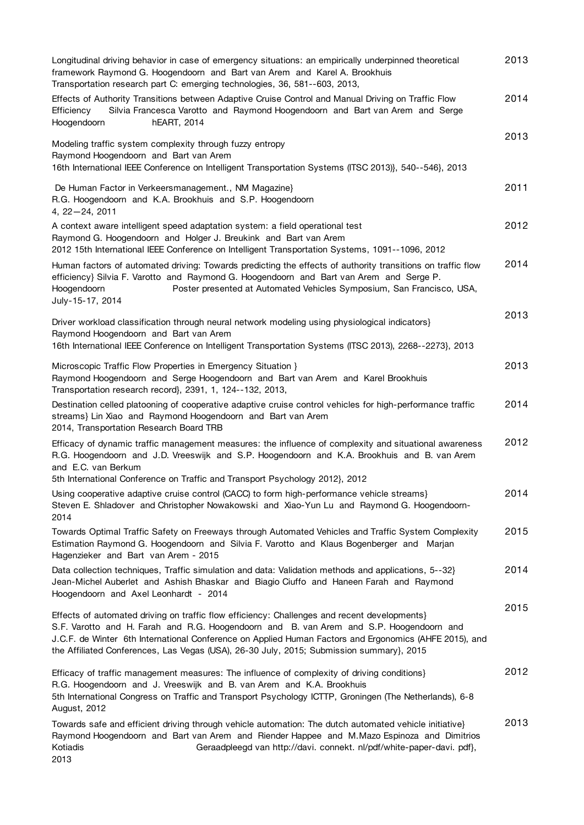| Longitudinal driving behavior in case of emergency situations: an empirically underpinned theoretical<br>framework Raymond G. Hoogendoorn and Bart van Arem and Karel A. Brookhuis<br>Transportation research part C: emerging technologies, 36, 581--603, 2013,                                                                                                                              | 2013 |
|-----------------------------------------------------------------------------------------------------------------------------------------------------------------------------------------------------------------------------------------------------------------------------------------------------------------------------------------------------------------------------------------------|------|
| Effects of Authority Transitions between Adaptive Cruise Control and Manual Driving on Traffic Flow<br>Silvia Francesca Varotto and Raymond Hoogendoorn and Bart van Arem and Serge<br>Efficiency<br>Hoogendoorn<br>hEART, 2014                                                                                                                                                               | 2014 |
| Modeling traffic system complexity through fuzzy entropy<br>Raymond Hoogendoorn and Bart van Arem                                                                                                                                                                                                                                                                                             | 2013 |
| 16th International IEEE Conference on Intelligent Transportation Systems (ITSC 2013)}, 540--546}, 2013                                                                                                                                                                                                                                                                                        |      |
| De Human Factor in Verkeersmanagement., NM Magazine}<br>R.G. Hoogendoorn and K.A. Brookhuis and S.P. Hoogendoorn<br>$4, 22 - 24, 2011$                                                                                                                                                                                                                                                        | 2011 |
| A context aware intelligent speed adaptation system: a field operational test<br>Raymond G. Hoogendoorn and Holger J. Breukink and Bart van Arem<br>2012 15th International IEEE Conference on Intelligent Transportation Systems, 1091--1096, 2012                                                                                                                                           | 2012 |
| Human factors of automated driving: Towards predicting the effects of authority transitions on traffic flow<br>efficiency} Silvia F. Varotto and Raymond G. Hoogendoorn and Bart van Arem and Serge P.<br>Poster presented at Automated Vehicles Symposium, San Francisco, USA,<br>Hoogendoorn<br>July-15-17, 2014                                                                            | 2014 |
| Driver workload classification through neural network modeling using physiological indicators}                                                                                                                                                                                                                                                                                                | 2013 |
| Raymond Hoogendoorn and Bart van Arem<br>16th International IEEE Conference on Intelligent Transportation Systems (ITSC 2013), 2268--2273}, 2013                                                                                                                                                                                                                                              |      |
| Microscopic Traffic Flow Properties in Emergency Situation }<br>Raymond Hoogendoorn and Serge Hoogendoorn and Bart van Arem and Karel Brookhuis<br>Transportation research record}, 2391, 1, 124--132, 2013,                                                                                                                                                                                  | 2013 |
| Destination celled platooning of cooperative adaptive cruise control vehicles for high-performance traffic<br>streams} Lin Xiao and Raymond Hoogendoorn and Bart van Arem<br>2014, Transportation Research Board TRB                                                                                                                                                                          | 2014 |
| Efficacy of dynamic traffic management measures: the influence of complexity and situational awareness<br>R.G. Hoogendoorn and J.D. Vreeswijk and S.P. Hoogendoorn and K.A. Brookhuis and B. van Arem<br>and E.C. van Berkum                                                                                                                                                                  | 2012 |
| 5th International Conference on Traffic and Transport Psychology 2012}, 2012                                                                                                                                                                                                                                                                                                                  |      |
| Using cooperative adaptive cruise control (CACC) to form high-performance vehicle streams}<br>Steven E. Shladover and Christopher Nowakowski and Xiao-Yun Lu and Raymond G. Hoogendoorn-<br>2014                                                                                                                                                                                              | 2014 |
| Towards Optimal Traffic Safety on Freeways through Automated Vehicles and Traffic System Complexity<br>Estimation Raymond G. Hoogendoorn and Silvia F. Varotto and Klaus Bogenberger and Marjan<br>Hagenzieker and Bart van Arem - 2015                                                                                                                                                       | 2015 |
| Data collection techniques, Traffic simulation and data: Validation methods and applications, 5--32}<br>Jean-Michel Auberlet and Ashish Bhaskar and Biagio Ciuffo and Haneen Farah and Raymond<br>Hoogendoorn and Axel Leonhardt - 2014                                                                                                                                                       | 2014 |
| Effects of automated driving on traffic flow efficiency: Challenges and recent developments}<br>S.F. Varotto and H. Farah and R.G. Hoogendoorn and B. van Arem and S.P. Hoogendoorn and<br>J.C.F. de Winter 6th International Conference on Applied Human Factors and Ergonomics (AHFE 2015), and<br>the Affiliated Conferences, Las Vegas (USA), 26-30 July, 2015; Submission summary}, 2015 | 2015 |
| Efficacy of traffic management measures: The influence of complexity of driving conditions}<br>R.G. Hoogendoorn and J. Vreeswijk and B. van Arem and K.A. Brookhuis<br>5th International Congress on Traffic and Transport Psychology ICTTP, Groningen (The Netherlands), 6-8<br>August, 2012                                                                                                 | 2012 |
| Towards safe and efficient driving through vehicle automation: The dutch automated vehicle initiative}<br>Raymond Hoogendoorn and Bart van Arem and Riender Happee and M.Mazo Espinoza and Dimitrios<br>Kotiadis<br>Geraadpleegd van http://davi. connekt. nl/pdf/white-paper-davi. pdf},<br>2013                                                                                             | 2013 |